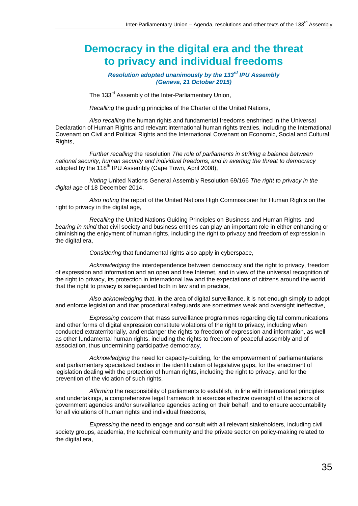## **Democracy in the digital era and the threat to privacy and individual freedoms**

## *Resolution adopted unanimously by the 133rd IPU Assembly (Geneva, 21 October 2015)*

The 133<sup>rd</sup> Assembly of the Inter-Parliamentary Union,

*Recalling* the guiding principles of the Charter of the United Nations,

*Also recalling* the human rights and fundamental freedoms enshrined in the Universal Declaration of Human Rights and relevant international human rights treaties, including the International Covenant on Civil and Political Rights and the International Covenant on Economic, Social and Cultural Rights,

*Further recalling* the resolution *The role of parliaments in striking a balance between national security, human security and individual freedoms, and in averting the threat to democracy* adopted by the 118<sup>th</sup> IPU Assembly (Cape Town, April 2008),

*Noting* United Nations General Assembly Resolution 69/166 *The right to privacy in the digital age* of 18 December 2014,

*Also noting* the report of the United Nations High Commissioner for Human Rights on the right to privacy in the digital age,

*Recalling* the United Nations Guiding Principles on Business and Human Rights, and *bearing in mind* that civil society and business entities can play an important role in either enhancing or diminishing the enjoyment of human rights, including the right to privacy and freedom of expression in the digital era,

*Considering* that fundamental rights also apply in cyberspace,

*Acknowledging* the interdependence between democracy and the right to privacy, freedom of expression and information and an open and free Internet, and in view of the universal recognition of the right to privacy, its protection in international law and the expectations of citizens around the world that the right to privacy is safeguarded both in law and in practice,

*Also acknowledging* that, in the area of digital surveillance, it is not enough simply to adopt and enforce legislation and that procedural safeguards are sometimes weak and oversight ineffective,

*Expressing concern* that mass surveillance programmes regarding digital communications and other forms of digital expression constitute violations of the right to privacy, including when conducted extraterritorially, and endanger the rights to freedom of expression and information, as well as other fundamental human rights, including the rights to freedom of peaceful assembly and of association, thus undermining participative democracy,

*Acknowledging* the need for capacity-building, for the empowerment of parliamentarians and parliamentary specialized bodies in the identification of legislative gaps, for the enactment of legislation dealing with the protection of human rights, including the right to privacy, and for the prevention of the violation of such rights,

*Affirming* the responsibility of parliaments to establish, in line with international principles and undertakings, a comprehensive legal framework to exercise effective oversight of the actions of government agencies and/or surveillance agencies acting on their behalf, and to ensure accountability for all violations of human rights and individual freedoms,

*Expressing* the need to engage and consult with all relevant stakeholders, including civil society groups, academia, the technical community and the private sector on policy-making related to the digital era,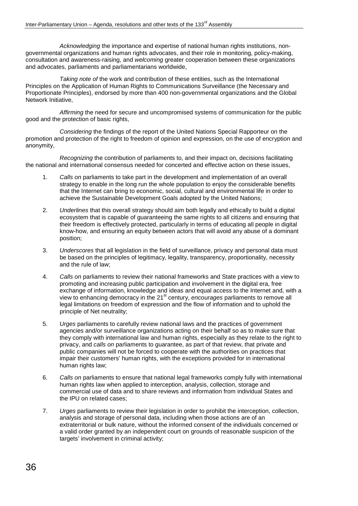*Acknowledging* the importance and expertise of national human rights institutions, nongovernmental organizations and human rights advocates, and their role in monitoring, policy-making, consultation and awareness-raising, and *welcoming* greater cooperation between these organizations and advocates, parliaments and parliamentarians worldwide,

*Taking note of* the work and contribution of these entities, such as the International Principles on the Application of Human Rights to Communications Surveillance (the Necessary and Proportionate Principles), endorsed by more than 400 non-governmental organizations and the Global Network Initiative,

*Affirming* the need for secure and uncompromised systems of communication for the public good and the protection of basic rights,

*Considering* the findings of the report of the United Nations Special Rapporteur on the promotion and protection of the right to freedom of opinion and expression, on the use of encryption and anonymity,

*Recognizing* the contribution of parliaments to, and their impact on, decisions facilitating the national and international consensus needed for concerted and effective action on these issues,

- 1. *Calls on* parliaments to take part in the development and implementation of an overall strategy to enable in the long run the whole population to enjoy the considerable benefits that the Internet can bring to economic, social, cultural and environmental life in order to achieve the Sustainable Development Goals adopted by the United Nations;
- 2. *Underlines* that this overall strategy should aim both legally and ethically to build a digital ecosystem that is capable of guaranteeing the same rights to all citizens and ensuring that their freedom is effectively protected, particularly in terms of educating all people in digital know-how, and ensuring an equity between actors that will avoid any abuse of a dominant position;
- 3. *Underscores* that all legislation in the field of surveillance, privacy and personal data must be based on the principles of legitimacy, legality, transparency, proportionality, necessity and the rule of law;
- 4. *Calls on* parliaments to review their national frameworks and State practices with a view to promoting and increasing public participation and involvement in the digital era, free exchange of information, knowledge and ideas and equal access to the Internet and, with a view to enhancing democracy in the 21<sup>st</sup> century, *encourages* parliaments to remove all legal limitations on freedom of expression and the flow of information and to uphold the principle of Net neutrality;
- 5. *Urges* parliaments to carefully review national laws and the practices of government agencies and/or surveillance organizations acting on their behalf so as to make sure that they comply with international law and human rights, especially as they relate to the right to privacy, and *calls on* parliaments to guarantee, as part of that review, that private and public companies will not be forced to cooperate with the authorities on practices that impair their customers' human rights, with the exceptions provided for in international human rights law;
- 6. *Calls on* parliaments to ensure that national legal frameworks comply fully with international human rights law when applied to interception, analysis, collection, storage and commercial use of data and to share reviews and information from individual States and the IPU on related cases;
- 7. *Urges* parliaments to review their legislation in order to prohibit the interception, collection, analysis and storage of personal data, including when those actions are of an extraterritorial or bulk nature, without the informed consent of the individuals concerned or a valid order granted by an independent court on grounds of reasonable suspicion of the targets' involvement in criminal activity;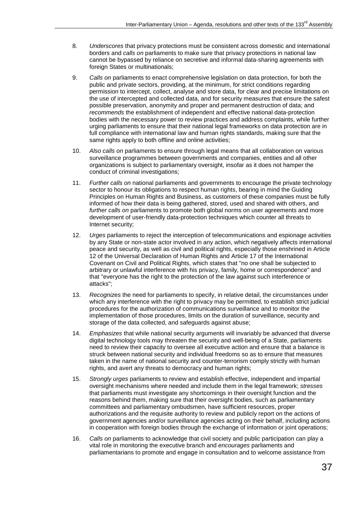- 8. *Underscores* that privacy protections must be consistent across domestic and international borders and *calls on* parliaments to make sure that privacy protections in national law cannot be bypassed by reliance on secretive and informal data-sharing agreements with foreign States or multinationals;
- 9. *Calls on* parliaments to enact comprehensive legislation on data protection, for both the public and private sectors, providing, at the minimum, for strict conditions regarding permission to intercept, collect, analyse and store data, for clear and precise limitations on the use of intercepted and collected data, and for security measures that ensure the safest possible preservation, anonymity and proper and permanent destruction of data; and *recommends* the establishment of independent and effective national data-protection bodies with the necessary power to review practices and address complaints, while further urging parliaments to ensure that their national legal frameworks on data protection are in full compliance with international law and human rights standards, making sure that the same rights apply to both offline and online activities;
- 10. *Also calls on* parliaments to ensure through legal means that all collaboration on various surveillance programmes between governments and companies, entities and all other organizations is subject to parliamentary oversight, insofar as it does not hamper the conduct of criminal investigations;
- 11. *Further calls on* national parliaments and governments to encourage the private technology sector to honour its obligations to respect human rights, bearing in mind the Guiding Principles on Human Rights and Business, as customers of these companies must be fully informed of how their data is being gathered, stored, used and shared with others, and *further calls on* parliaments to promote both global norms on user agreements and more development of user-friendly data-protection techniques which counter all threats to Internet security;
- 12. *Urges* parliaments to reject the interception of telecommunications and espionage activities by any State or non-state actor involved in any action, which negatively affects international peace and security, as well as civil and political rights, especially those enshrined in Article 12 of the Universal Declaration of Human Rights and Article 17 of the International Covenant on Civil and Political Rights, which states that "no one shall be subjected to arbitrary or unlawful interference with his privacy, family, home or correspondence" and that "everyone has the right to the protection of the law against such interference or attacks";
- 13. *Recognizes* the need for parliaments to specify, in relative detail, the circumstances under which any interference with the right to privacy may be permitted, to establish strict judicial procedures for the authorization of communications surveillance and to monitor the implementation of those procedures, limits on the duration of surveillance, security and storage of the data collected, and safeguards against abuse;
- 14. *Emphasizes* that while national security arguments will invariably be advanced that diverse digital technology tools may threaten the security and well-being of a State, parliaments need to review their capacity to oversee all executive action and ensure that a balance is struck between national security and individual freedoms so as to ensure that measures taken in the name of national security and counter-terrorism comply strictly with human rights, and avert any threats to democracy and human rights;
- 15. *Strongly urges* parliaments to review and establish effective, independent and impartial oversight mechanisms where needed and include them in the legal framework; *stresses* that parliaments must investigate any shortcomings in their oversight function and the reasons behind them, making sure that their oversight bodies, such as parliamentary committees and parliamentary ombudsmen, have sufficient resources, proper authorizations and the requisite authority to review and publicly report on the actions of government agencies and/or surveillance agencies acting on their behalf, including actions in cooperation with foreign bodies through the exchange of information or joint operations;
- 16. *Calls on* parliaments to acknowledge that civil society and public participation can play a vital role in monitoring the executive branch and *encourages* parliaments and parliamentarians to promote and engage in consultation and to welcome assistance from